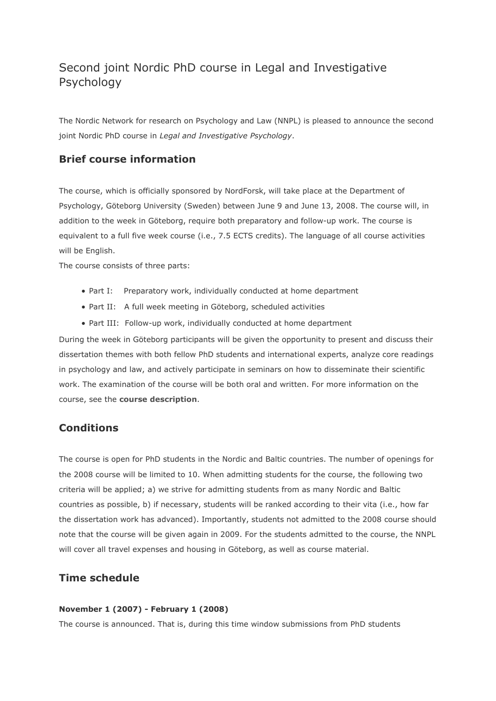# Second joint Nordic PhD course in Legal and Investigative Psychology

The Nordic Network for research on Psychology and Law (NNPL) is pleased to announce the second joint Nordic PhD course in *Legal and Investigative Psychology*.

## **Brief course information**

The course, which is officially sponsored by NordForsk, will take place at the Department of Psychology, Göteborg University (Sweden) between June 9 and June 13, 2008. The course will, in addition to the week in Göteborg, require both preparatory and follow-up work. The course is equivalent to a full five week course (i.e., 7.5 ECTS credits). The language of all course activities will be English.

The course consists of three parts:

- Part I: Preparatory work, individually conducted at home department
- Part II: A full week meeting in Göteborg, scheduled activities
- Part III: Follow-up work, individually conducted at home department

During the week in Göteborg participants will be given the opportunity to present and discuss their dissertation themes with both fellow PhD students and international experts, analyze core readings in psychology and law, and actively participate in seminars on how to disseminate their scientific work. The examination of the course will be both oral and written. For more information on the course, see the **[course description](http://www.nnpl.net/nnpl/uploads/File/Course%20description.pdf)**.

## **Conditions**

The course is open for PhD students in the Nordic and Baltic countries. The number of openings for the 2008 course will be limited to 10. When admitting students for the course, the following two criteria will be applied; a) we strive for admitting students from as many Nordic and Baltic countries as possible, b) if necessary, students will be ranked according to their vita (i.e., how far the dissertation work has advanced). Importantly, students not admitted to the 2008 course should note that the course will be given again in 2009. For the students admitted to the course, the NNPL will cover all travel expenses and housing in Göteborg, as well as course material.

### **Time schedule**

#### **November 1 (2007) - February 1 (2008)**

The course is announced. That is, during this time window submissions from PhD students